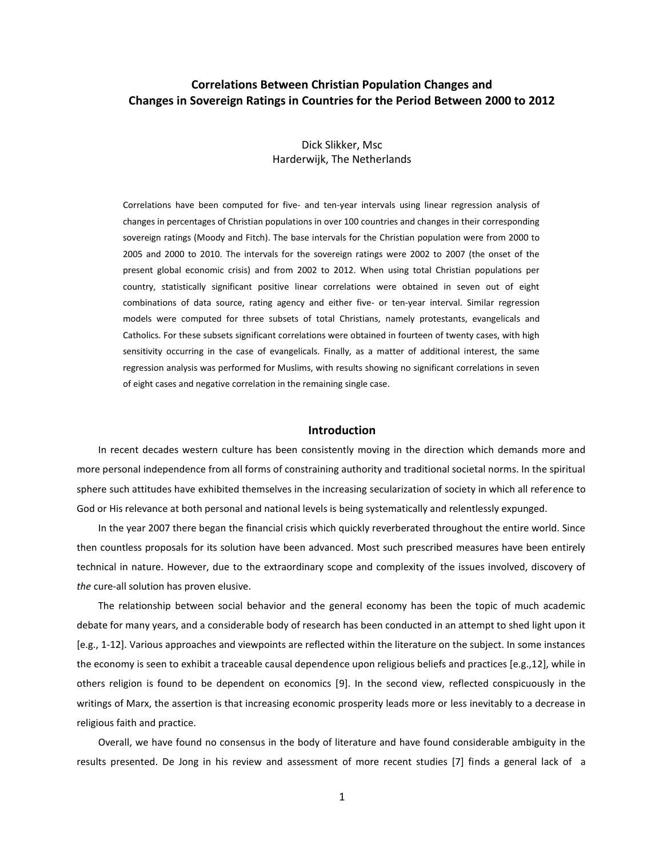# **Correlations Between Christian Population Changes and Changes in Sovereign Ratings in Countries for the Period Between 2000 to 2012**

### Dick Slikker, Msc Harderwijk, The Netherlands

Correlations have been computed for five- and ten-year intervals using linear regression analysis of changes in percentages of Christian populations in over 100 countries and changes in their corresponding sovereign ratings (Moody and Fitch). The base intervals for the Christian population were from 2000 to 2005 and 2000 to 2010. The intervals for the sovereign ratings were 2002 to 2007 (the onset of the present global economic crisis) and from 2002 to 2012. When using total Christian populations per country, statistically significant positive linear correlations were obtained in seven out of eight combinations of data source, rating agency and either five- or ten-year interval. Similar regression models were computed for three subsets of total Christians, namely protestants, evangelicals and Catholics. For these subsets significant correlations were obtained in fourteen of twenty cases, with high sensitivity occurring in the case of evangelicals. Finally, as a matter of additional interest, the same regression analysis was performed for Muslims, with results showing no significant correlations in seven of eight cases and negative correlation in the remaining single case.

#### **Introduction**

In recent decades western culture has been consistently moving in the direction which demands more and more personal independence from all forms of constraining authority and traditional societal norms. In the spiritual sphere such attitudes have exhibited themselves in the increasing secularization of society in which all reference to God or His relevance at both personal and national levels is being systematically and relentlessly expunged.

In the year 2007 there began the financial crisis which quickly reverberated throughout the entire world. Since then countless proposals for its solution have been advanced. Most such prescribed measures have been entirely technical in nature. However, due to the extraordinary scope and complexity of the issues involved, discovery of *the* cure-all solution has proven elusive.

The relationship between social behavior and the general economy has been the topic of much academic debate for many years, and a considerable body of research has been conducted in an attempt to shed light upon it [e.g., 1-12]. Various approaches and viewpoints are reflected within the literature on the subject. In some instances the economy is seen to exhibit a traceable causal dependence upon religious beliefs and practices [e.g.,12], while in others religion is found to be dependent on economics [9]. In the second view, reflected conspicuously in the writings of Marx, the assertion is that increasing economic prosperity leads more or less inevitably to a decrease in religious faith and practice.

Overall, we have found no consensus in the body of literature and have found considerable ambiguity in the results presented. De Jong in his review and assessment of more recent studies [7] finds a general lack of a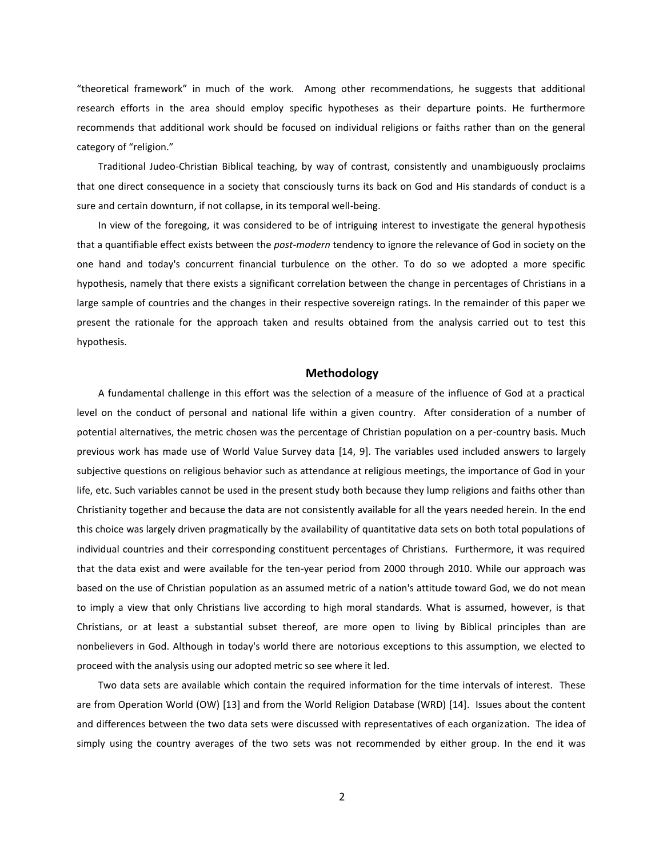"theoretical framework" in much of the work. Among other recommendations, he suggests that additional research efforts in the area should employ specific hypotheses as their departure points. He furthermore recommends that additional work should be focused on individual religions or faiths rather than on the general category of "religion."

Traditional Judeo-Christian Biblical teaching, by way of contrast, consistently and unambiguously proclaims that one direct consequence in a society that consciously turns its back on God and His standards of conduct is a sure and certain downturn, if not collapse, in its temporal well-being.

In view of the foregoing, it was considered to be of intriguing interest to investigate the general hypothesis that a quantifiable effect exists between the *post-modern* tendency to ignore the relevance of God in society on the one hand and today's concurrent financial turbulence on the other. To do so we adopted a more specific hypothesis, namely that there exists a significant correlation between the change in percentages of Christians in a large sample of countries and the changes in their respective sovereign ratings. In the remainder of this paper we present the rationale for the approach taken and results obtained from the analysis carried out to test this hypothesis.

### **Methodology**

A fundamental challenge in this effort was the selection of a measure of the influence of God at a practical level on the conduct of personal and national life within a given country. After consideration of a number of potential alternatives, the metric chosen was the percentage of Christian population on a per-country basis. Much previous work has made use of World Value Survey data [14, 9]. The variables used included answers to largely subjective questions on religious behavior such as attendance at religious meetings, the importance of God in your life, etc. Such variables cannot be used in the present study both because they lump religions and faiths other than Christianity together and because the data are not consistently available for all the years needed herein. In the end this choice was largely driven pragmatically by the availability of quantitative data sets on both total populations of individual countries and their corresponding constituent percentages of Christians. Furthermore, it was required that the data exist and were available for the ten-year period from 2000 through 2010. While our approach was based on the use of Christian population as an assumed metric of a nation's attitude toward God, we do not mean to imply a view that only Christians live according to high moral standards. What is assumed, however, is that Christians, or at least a substantial subset thereof, are more open to living by Biblical principles than are nonbelievers in God. Although in today's world there are notorious exceptions to this assumption, we elected to proceed with the analysis using our adopted metric so see where it led.

Two data sets are available which contain the required information for the time intervals of interest. These are from Operation World (OW) [13] and from the World Religion Database (WRD) [14]. Issues about the content and differences between the two data sets were discussed with representatives of each organization. The idea of simply using the country averages of the two sets was not recommended by either group. In the end it was

2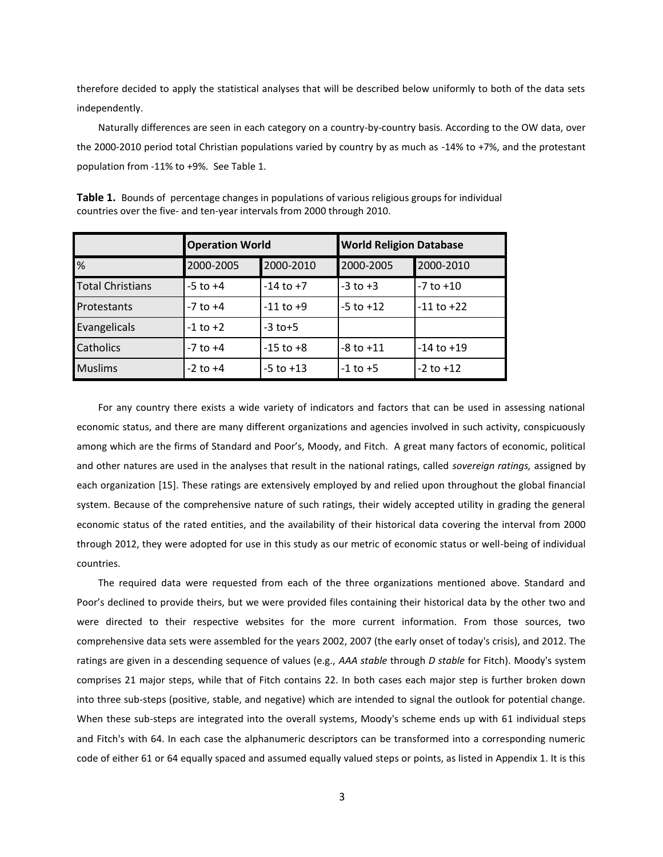therefore decided to apply the statistical analyses that will be described below uniformly to both of the data sets independently.

Naturally differences are seen in each category on a country-by-country basis. According to the OW data, over the 2000-2010 period total Christian populations varied by country by as much as -14% to +7%, and the protestant population from -11% to +9%. See Table 1.

|                         | <b>Operation World</b> |               | <b>World Religion Database</b> |                |
|-------------------------|------------------------|---------------|--------------------------------|----------------|
| %                       | 2000-2005              | 2000-2010     | 2000-2005                      | 2000-2010      |
| <b>Total Christians</b> | $-5$ to $+4$           | $-14$ to $+7$ | $-3$ to $+3$                   | $-7$ to $+10$  |
| Protestants             | $-7$ to $+4$           | $-11$ to $+9$ | $-5$ to $+12$                  | $-11$ to $+22$ |
| Evangelicals            | $-1$ to $+2$           | $-3$ to $+5$  |                                |                |
| <b>Catholics</b>        | $-7$ to $+4$           | $-15$ to $+8$ | $-8$ to $+11$                  | $-14$ to $+19$ |
| <b>Muslims</b>          | $-2$ to $+4$           | $-5$ to $+13$ | $-1$ to $+5$                   | $-2$ to $+12$  |

**Table 1.** Bounds of percentage changes in populations of various religious groups for individual countries over the five- and ten-year intervals from 2000 through 2010.

For any country there exists a wide variety of indicators and factors that can be used in assessing national economic status, and there are many different organizations and agencies involved in such activity, conspicuously among which are the firms of Standard and Poor's, Moody, and Fitch. A great many factors of economic, political and other natures are used in the analyses that result in the national ratings, called *sovereign ratings,* assigned by each organization [15]. These ratings are extensively employed by and relied upon throughout the global financial system. Because of the comprehensive nature of such ratings, their widely accepted utility in grading the general economic status of the rated entities, and the availability of their historical data covering the interval from 2000 through 2012, they were adopted for use in this study as our metric of economic status or well-being of individual countries.

The required data were requested from each of the three organizations mentioned above. Standard and Poor's declined to provide theirs, but we were provided files containing their historical data by the other two and were directed to their respective websites for the more current information. From those sources, two comprehensive data sets were assembled for the years 2002, 2007 (the early onset of today's crisis), and 2012. The ratings are given in a descending sequence of values (e.g., *AAA stable* through *D stable* for Fitch). Moody's system comprises 21 major steps, while that of Fitch contains 22. In both cases each major step is further broken down into three sub-steps (positive, stable, and negative) which are intended to signal the outlook for potential change. When these sub-steps are integrated into the overall systems, Moody's scheme ends up with 61 individual steps and Fitch's with 64. In each case the alphanumeric descriptors can be transformed into a corresponding numeric code of either 61 or 64 equally spaced and assumed equally valued steps or points, as listed in Appendix 1. It is this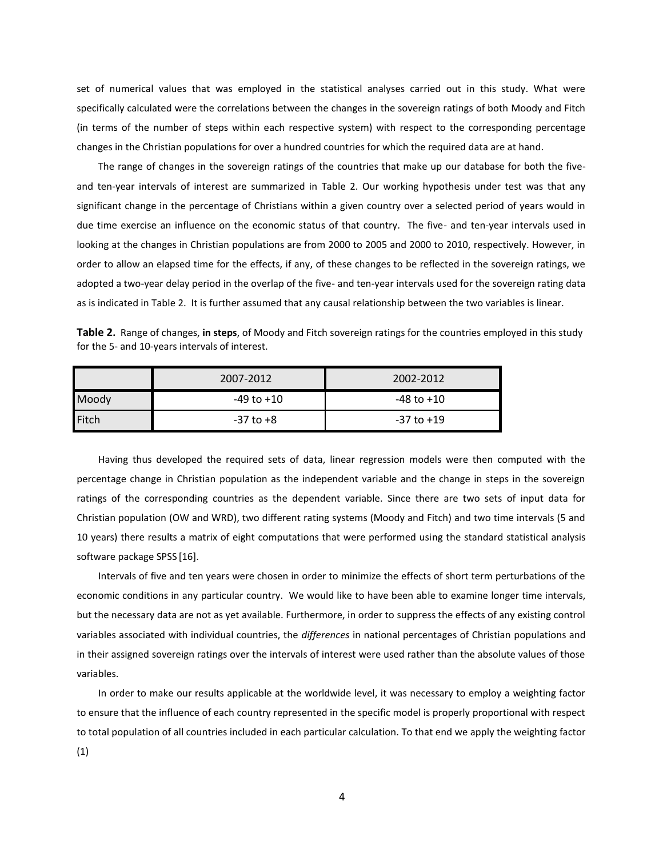set of numerical values that was employed in the statistical analyses carried out in this study. What were specifically calculated were the correlations between the changes in the sovereign ratings of both Moody and Fitch (in terms of the number of steps within each respective system) with respect to the corresponding percentage changes in the Christian populations for over a hundred countries for which the required data are at hand.

The range of changes in the sovereign ratings of the countries that make up our database for both the fiveand ten-year intervals of interest are summarized in Table 2. Our working hypothesis under test was that any significant change in the percentage of Christians within a given country over a selected period of years would in due time exercise an influence on the economic status of that country. The five- and ten-year intervals used in looking at the changes in Christian populations are from 2000 to 2005 and 2000 to 2010, respectively. However, in order to allow an elapsed time for the effects, if any, of these changes to be reflected in the sovereign ratings, we adopted a two-year delay period in the overlap of the five- and ten-year intervals used for the sovereign rating data as is indicated in Table 2. It is further assumed that any causal relationship between the two variables is linear.

| Table 2. Range of changes, in steps, of Moody and Fitch sovereign ratings for the countries employed in this study |  |  |
|--------------------------------------------------------------------------------------------------------------------|--|--|
| for the 5- and 10-years intervals of interest.                                                                     |  |  |

|              | 2007-2012     | 2002-2012  |
|--------------|---------------|------------|
| Moody        | -49 to +10    | -48 to +10 |
| <b>Fitch</b> | $-37$ to $+8$ | -37 to +19 |

Having thus developed the required sets of data, linear regression models were then computed with the percentage change in Christian population as the independent variable and the change in steps in the sovereign ratings of the corresponding countries as the dependent variable. Since there are two sets of input data for Christian population (OW and WRD), two different rating systems (Moody and Fitch) and two time intervals (5 and 10 years) there results a matrix of eight computations that were performed using the standard statistical analysis software package SPSS [16].

Intervals of five and ten years were chosen in order to minimize the effects of short term perturbations of the economic conditions in any particular country. We would like to have been able to examine longer time intervals, but the necessary data are not as yet available. Furthermore, in order to suppress the effects of any existing control variables associated with individual countries, the *differences* in national percentages of Christian populations and in their assigned sovereign ratings over the intervals of interest were used rather than the absolute values of those variables.

In order to make our results applicable at the worldwide level, it was necessary to employ a weighting factor to ensure that the influence of each country represented in the specific model is properly proportional with respect to total population of all countries included in each particular calculation. To that end we apply the weighting factor (1)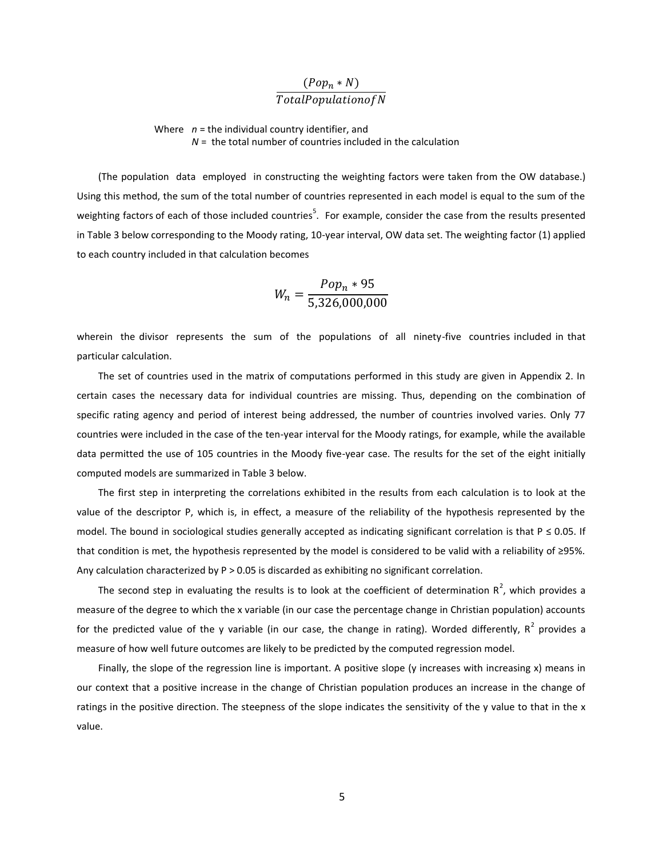# $\big($  $\boldsymbol{T}$

 Where *n* = the individual country identifier, and *N* = the total number of countries included in the calculation

(The population data employed in constructing the weighting factors were taken from the OW database.) Using this method, the sum of the total number of countries represented in each model is equal to the sum of the weighting factors of each of those included countries<sup>5</sup>. For example, consider the case from the results presented in Table 3 below corresponding to the Moody rating, 10-year interval, OW data set. The weighting factor (1) applied to each country included in that calculation becomes

$$
W_n = \frac{Pop_n * 95}{5,326,000,000}
$$

wherein the divisor represents the sum of the populations of all ninety-five countries included in that particular calculation.

The set of countries used in the matrix of computations performed in this study are given in Appendix 2. In certain cases the necessary data for individual countries are missing. Thus, depending on the combination of specific rating agency and period of interest being addressed, the number of countries involved varies. Only 77 countries were included in the case of the ten-year interval for the Moody ratings, for example, while the available data permitted the use of 105 countries in the Moody five-year case. The results for the set of the eight initially computed models are summarized in Table 3 below.

The first step in interpreting the correlations exhibited in the results from each calculation is to look at the value of the descriptor P, which is, in effect, a measure of the reliability of the hypothesis represented by the model. The bound in sociological studies generally accepted as indicating significant correlation is that  $P \le 0.05$ . If that condition is met, the hypothesis represented by the model is considered to be valid with a reliability of ≥95%. Any calculation characterized by  $P > 0.05$  is discarded as exhibiting no significant correlation.

The second step in evaluating the results is to look at the coefficient of determination  $R^2$ , which provides a measure of the degree to which the x variable (in our case the percentage change in Christian population) accounts for the predicted value of the y variable (in our case, the change in rating). Worded differently,  $R^2$  provides a measure of how well future outcomes are likely to be predicted by the computed regression model.

Finally, the slope of the regression line is important. A positive slope (y increases with increasing x) means in our context that a positive increase in the change of Christian population produces an increase in the change of ratings in the positive direction. The steepness of the slope indicates the sensitivity of the y value to that in the x value.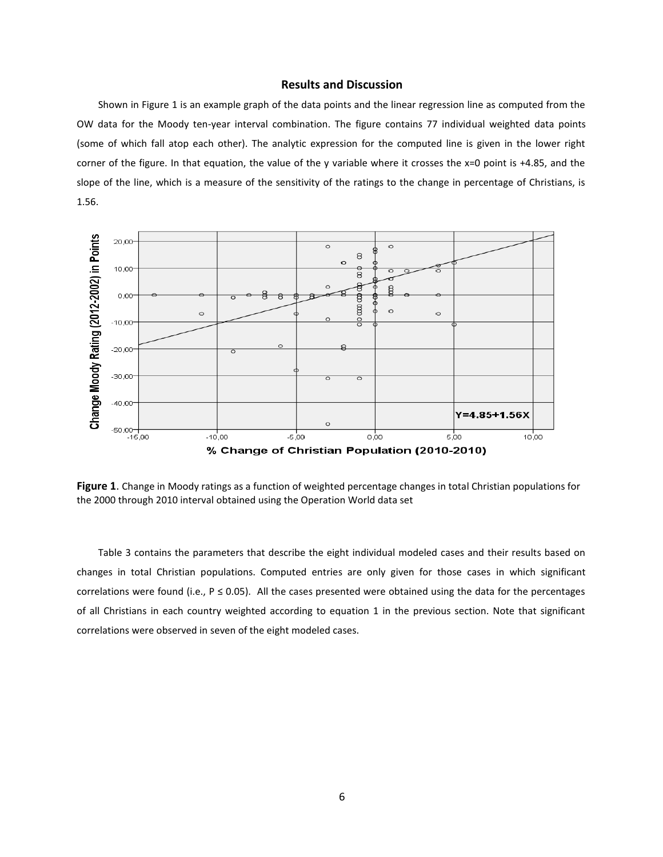### **Results and Discussion**

Shown in Figure 1 is an example graph of the data points and the linear regression line as computed from the OW data for the Moody ten-year interval combination. The figure contains 77 individual weighted data points (some of which fall atop each other). The analytic expression for the computed line is given in the lower right corner of the figure. In that equation, the value of the y variable where it crosses the  $x=0$  point is  $+4.85$ , and the slope of the line, which is a measure of the sensitivity of the ratings to the change in percentage of Christians, is 1.56.



**Figure 1**. Change in Moody ratings as a function of weighted percentage changes in total Christian populations for the 2000 through 2010 interval obtained using the Operation World data set

Table 3 contains the parameters that describe the eight individual modeled cases and their results based on changes in total Christian populations. Computed entries are only given for those cases in which significant correlations were found (i.e.,  $P \le 0.05$ ). All the cases presented were obtained using the data for the percentages of all Christians in each country weighted according to equation 1 in the previous section. Note that significant correlations were observed in seven of the eight modeled cases.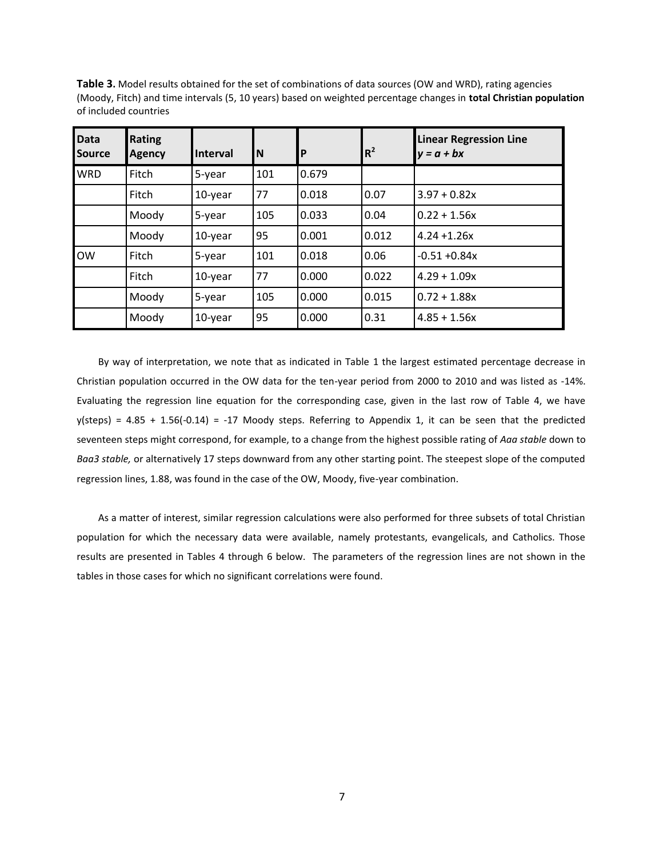| <b>Data</b><br><b>Source</b> | Rating<br><b>Agency</b> | <b>Interval</b> | ΙN  | P     | $R^2$ | <b>Linear Regression Line</b><br>$y = a + bx$ |
|------------------------------|-------------------------|-----------------|-----|-------|-------|-----------------------------------------------|
| <b>WRD</b>                   | Fitch                   | 5-year          | 101 | 0.679 |       |                                               |
|                              | Fitch                   | 10-year         | 77  | 0.018 | 0.07  | $3.97 + 0.82x$                                |
|                              | Moody                   | 5-year          | 105 | 0.033 | 0.04  | $0.22 + 1.56x$                                |
|                              | Moody                   | $10$ -year      | 95  | 0.001 | 0.012 | $4.24 + 1.26x$                                |
| <b>OW</b>                    | Fitch                   | 5-year          | 101 | 0.018 | 0.06  | $-0.51 + 0.84x$                               |
|                              | Fitch                   | 10-year         | 77  | 0.000 | 0.022 | $4.29 + 1.09x$                                |
|                              | Moody                   | 5-year          | 105 | 0.000 | 0.015 | $0.72 + 1.88x$                                |
|                              | Moody                   | 10-year         | 95  | 0.000 | 0.31  | $4.85 + 1.56x$                                |

**Table 3.** Model results obtained for the set of combinations of data sources (OW and WRD), rating agencies (Moody, Fitch) and time intervals (5, 10 years) based on weighted percentage changes in **total Christian population**  of included countries

By way of interpretation, we note that as indicated in Table 1 the largest estimated percentage decrease in Christian population occurred in the OW data for the ten-year period from 2000 to 2010 and was listed as -14%. Evaluating the regression line equation for the corresponding case, given in the last row of Table 4, we have  $y$ (steps) = 4.85 + 1.56(-0.14) = -17 Moody steps. Referring to Appendix 1, it can be seen that the predicted seventeen steps might correspond, for example, to a change from the highest possible rating of *Aaa stable* down to *Baa3 stable,* or alternatively 17 steps downward from any other starting point. The steepest slope of the computed regression lines, 1.88, was found in the case of the OW, Moody, five-year combination.

As a matter of interest, similar regression calculations were also performed for three subsets of total Christian population for which the necessary data were available, namely protestants, evangelicals, and Catholics. Those results are presented in Tables 4 through 6 below. The parameters of the regression lines are not shown in the tables in those cases for which no significant correlations were found.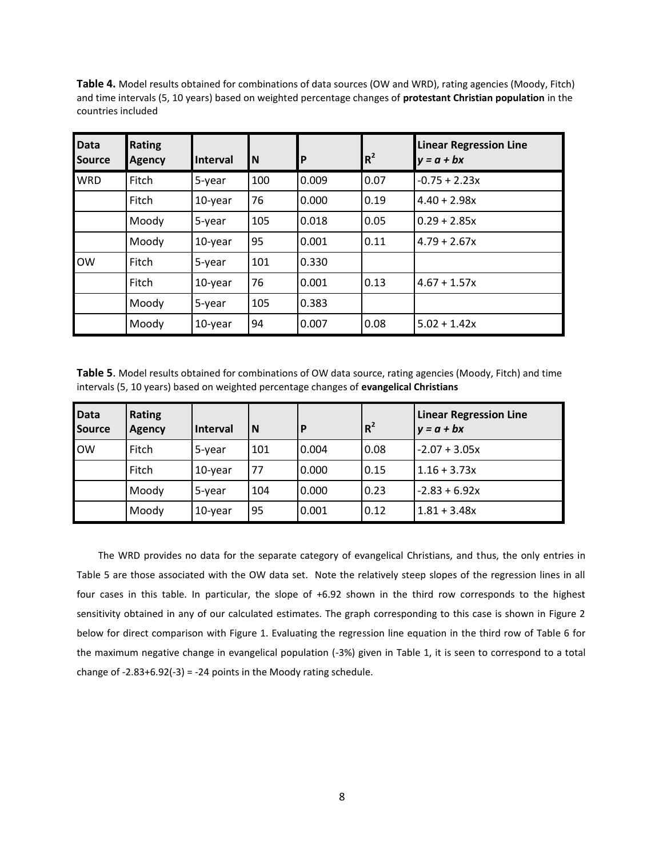**Table 4.** Model results obtained for combinations of data sources (OW and WRD), rating agencies (Moody, Fitch) and time intervals (5, 10 years) based on weighted percentage changes of **protestant Christian population** in the countries included

| <b>Data</b><br><b>Source</b> | Rating<br><b>Agency</b> | <b>Interval</b> | <b>N</b> | $\mathsf{P}$ | $R^2$ | <b>Linear Regression Line</b><br>$v = a + bx$ |
|------------------------------|-------------------------|-----------------|----------|--------------|-------|-----------------------------------------------|
| <b>WRD</b>                   | Fitch                   | 5-year          | 100      | 0.009        | 0.07  | $-0.75 + 2.23x$                               |
|                              | Fitch                   | 10-year         | 76       | 0.000        | 0.19  | $4.40 + 2.98x$                                |
|                              | Moody                   | 5-year          | 105      | 0.018        | 0.05  | $0.29 + 2.85x$                                |
|                              | Moody                   | 10-year         | 95       | 0.001        | 0.11  | $4.79 + 2.67x$                                |
| <b>OW</b>                    | Fitch                   | 5-year          | 101      | 0.330        |       |                                               |
|                              | Fitch                   | 10-year         | 76       | 0.001        | 0.13  | $4.67 + 1.57x$                                |
|                              | Moody                   | 5-year          | 105      | 0.383        |       |                                               |
|                              | Moody                   | 10-year         | 94       | 0.007        | 0.08  | $5.02 + 1.42x$                                |

**Table 5**. Model results obtained for combinations of OW data source, rating agencies (Moody, Fitch) and time intervals (5, 10 years) based on weighted percentage changes of **evangelical Christians**

| Data<br>Source | <b>Rating</b><br><b>Agency</b> | <b>Interval</b> | N   | P     | $R^2$ | <b>Linear Regression Line</b><br>$y = a + bx$ |
|----------------|--------------------------------|-----------------|-----|-------|-------|-----------------------------------------------|
| <b>OW</b>      | Fitch                          | 5-year          | 101 | 0.004 | 0.08  | $-2.07 + 3.05x$                               |
|                | Fitch                          | $10$ -year      | 77  | 0.000 | 0.15  | $1.16 + 3.73x$                                |
|                | Moody                          | 5-year          | 104 | 0.000 | 0.23  | $-2.83 + 6.92x$                               |
|                | Moody                          | $10$ -year      | 95  | 0.001 | 0.12  | $1.81 + 3.48x$                                |

The WRD provides no data for the separate category of evangelical Christians, and thus, the only entries in Table 5 are those associated with the OW data set. Note the relatively steep slopes of the regression lines in all four cases in this table. In particular, the slope of +6.92 shown in the third row corresponds to the highest sensitivity obtained in any of our calculated estimates. The graph corresponding to this case is shown in Figure 2 below for direct comparison with Figure 1. Evaluating the regression line equation in the third row of Table 6 for the maximum negative change in evangelical population (-3%) given in Table 1, it is seen to correspond to a total change of  $-2.83+6.92(-3) = -24$  points in the Moody rating schedule.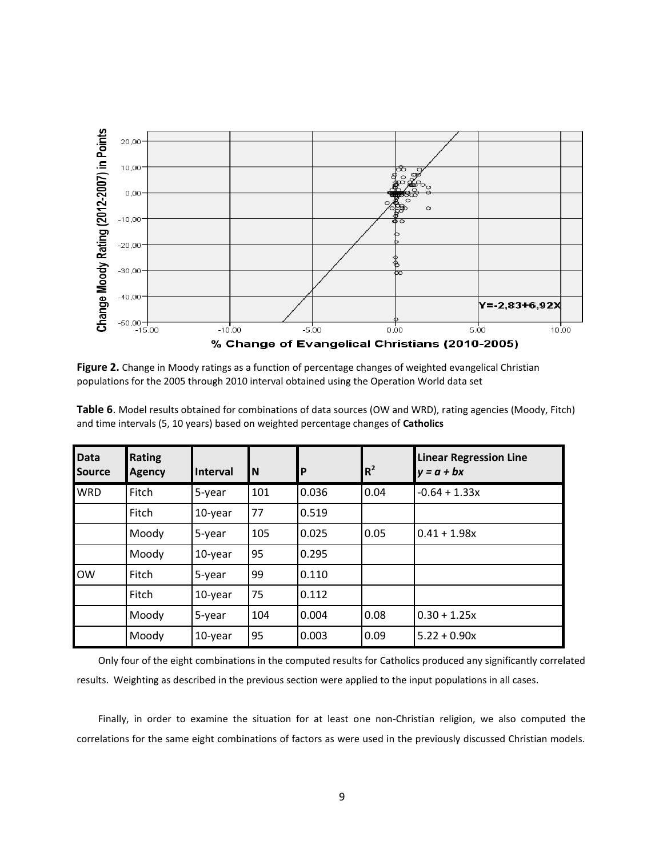

**Figure 2.** Change in Moody ratings as a function of percentage changes of weighted evangelical Christian populations for the 2005 through 2010 interval obtained using the Operation World data set

| <b>Data</b><br><b>Source</b> | <b>Rating</b><br><b>Agency</b> | <b>Interval</b> | <b>N</b> | P     | $R^2$ | <b>Linear Regression Line</b><br>$y = a + bx$ |
|------------------------------|--------------------------------|-----------------|----------|-------|-------|-----------------------------------------------|
| <b>WRD</b>                   | Fitch                          | 5-year          | 101      | 0.036 | 0.04  | $-0.64 + 1.33x$                               |
|                              | Fitch                          | 10-year         | 77       | 0.519 |       |                                               |
|                              | Moody                          | 5-year          | 105      | 0.025 | 0.05  | $0.41 + 1.98x$                                |
|                              | Moody                          | 10-year         | 95       | 0.295 |       |                                               |
| <b>OW</b>                    | Fitch                          | 5-year          | 99       | 0.110 |       |                                               |
|                              | Fitch                          | 10-year         | 75       | 0.112 |       |                                               |
|                              | Moody                          | 5-year          | 104      | 0.004 | 0.08  | $0.30 + 1.25x$                                |
|                              | Moody                          | 10-year         | 95       | 0.003 | 0.09  | $5.22 + 0.90x$                                |

**Table 6**. Model results obtained for combinations of data sources (OW and WRD), rating agencies (Moody, Fitch) and time intervals (5, 10 years) based on weighted percentage changes of **Catholics**

Only four of the eight combinations in the computed results for Catholics produced any significantly correlated results. Weighting as described in the previous section were applied to the input populations in all cases.

Finally, in order to examine the situation for at least one non-Christian religion, we also computed the correlations for the same eight combinations of factors as were used in the previously discussed Christian models.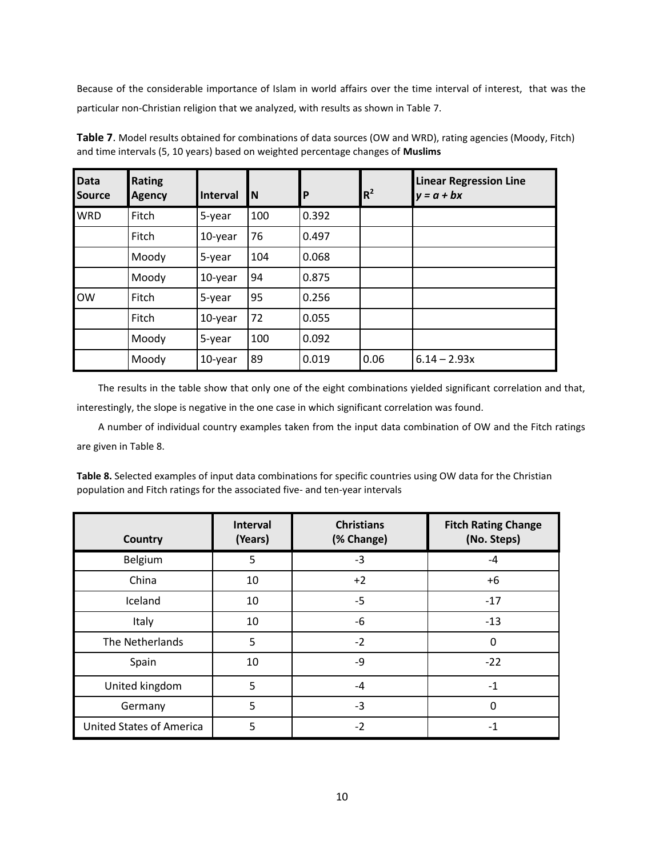Because of the considerable importance of Islam in world affairs over the time interval of interest, that was the particular non-Christian religion that we analyzed, with results as shown in Table 7.

| <b>Data</b><br><b>Source</b> | <b>Rating</b><br><b>Agency</b> | Interval | IN. | l P   | $R^2$ | <b>Linear Regression Line</b><br>$y = a + bx$ |
|------------------------------|--------------------------------|----------|-----|-------|-------|-----------------------------------------------|
| <b>WRD</b>                   | Fitch                          | 5-year   | 100 | 0.392 |       |                                               |
|                              | Fitch                          | 10-year  | 76  | 0.497 |       |                                               |
|                              | Moody                          | 5-year   | 104 | 0.068 |       |                                               |
|                              | Moody                          | 10-year  | 94  | 0.875 |       |                                               |
| <b>OW</b>                    | Fitch                          | 5-year   | 95  | 0.256 |       |                                               |
|                              | Fitch                          | 10-year  | 72  | 0.055 |       |                                               |
|                              | Moody                          | 5-year   | 100 | 0.092 |       |                                               |
|                              | Moody                          | 10-year  | 89  | 0.019 | 0.06  | $6.14 - 2.93x$                                |

**Table 7**. Model results obtained for combinations of data sources (OW and WRD), rating agencies (Moody, Fitch) and time intervals (5, 10 years) based on weighted percentage changes of **Muslims**

The results in the table show that only one of the eight combinations yielded significant correlation and that, interestingly, the slope is negative in the one case in which significant correlation was found.

A number of individual country examples taken from the input data combination of OW and the Fitch ratings are given in Table 8.

| Table 8. Selected examples of input data combinations for specific countries using OW data for the Christian |
|--------------------------------------------------------------------------------------------------------------|
| population and Fitch ratings for the associated five- and ten-year intervals                                 |

| Country                         | <b>Interval</b><br>(Years) | <b>Christians</b><br>(% Change) | <b>Fitch Rating Change</b><br>(No. Steps) |
|---------------------------------|----------------------------|---------------------------------|-------------------------------------------|
| Belgium                         | 5                          | $-3$                            | $-4$                                      |
| China                           | 10                         | $+2$                            | $+6$                                      |
| Iceland                         | 10                         | $-5$                            | $-17$                                     |
| Italy                           | 10                         | -6                              | $-13$                                     |
| The Netherlands                 | 5                          | $-2$                            | 0                                         |
| Spain                           | 10                         | -9                              | $-22$                                     |
| United kingdom                  | 5                          | $-4$                            | $-1$                                      |
| Germany                         | 5                          | $-3$                            | 0                                         |
| <b>United States of America</b> | 5                          | $-2$                            | $-1$                                      |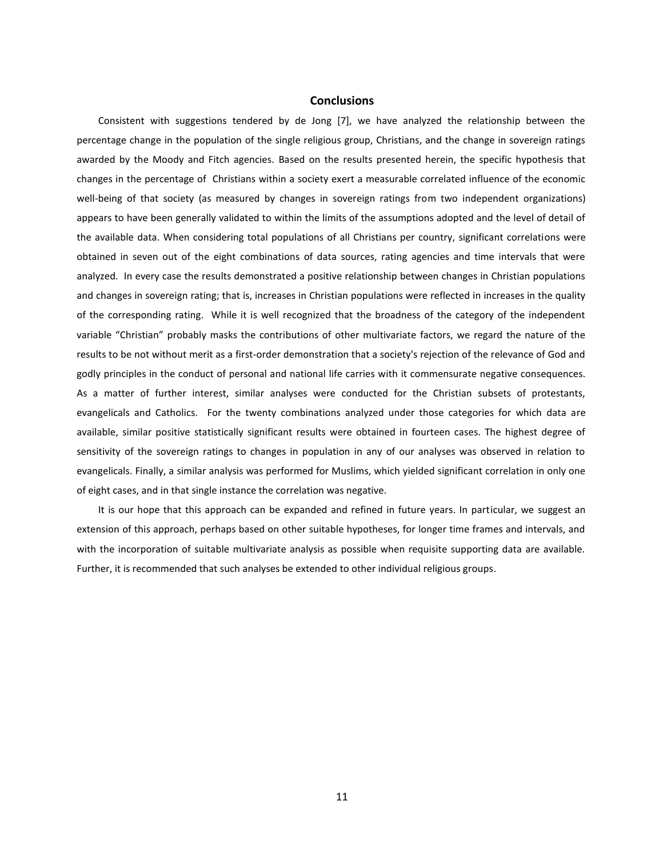### **Conclusions**

Consistent with suggestions tendered by de Jong [7], we have analyzed the relationship between the percentage change in the population of the single religious group, Christians, and the change in sovereign ratings awarded by the Moody and Fitch agencies. Based on the results presented herein, the specific hypothesis that changes in the percentage of Christians within a society exert a measurable correlated influence of the economic well-being of that society (as measured by changes in sovereign ratings from two independent organizations) appears to have been generally validated to within the limits of the assumptions adopted and the level of detail of the available data. When considering total populations of all Christians per country, significant correlations were obtained in seven out of the eight combinations of data sources, rating agencies and time intervals that were analyzed. In every case the results demonstrated a positive relationship between changes in Christian populations and changes in sovereign rating; that is, increases in Christian populations were reflected in increases in the quality of the corresponding rating. While it is well recognized that the broadness of the category of the independent variable "Christian" probably masks the contributions of other multivariate factors, we regard the nature of the results to be not without merit as a first-order demonstration that a society's rejection of the relevance of God and godly principles in the conduct of personal and national life carries with it commensurate negative consequences. As a matter of further interest, similar analyses were conducted for the Christian subsets of protestants, evangelicals and Catholics. For the twenty combinations analyzed under those categories for which data are available, similar positive statistically significant results were obtained in fourteen cases. The highest degree of sensitivity of the sovereign ratings to changes in population in any of our analyses was observed in relation to evangelicals. Finally, a similar analysis was performed for Muslims, which yielded significant correlation in only one of eight cases, and in that single instance the correlation was negative.

It is our hope that this approach can be expanded and refined in future years. In particular, we suggest an extension of this approach, perhaps based on other suitable hypotheses, for longer time frames and intervals, and with the incorporation of suitable multivariate analysis as possible when requisite supporting data are available. Further, it is recommended that such analyses be extended to other individual religious groups.

11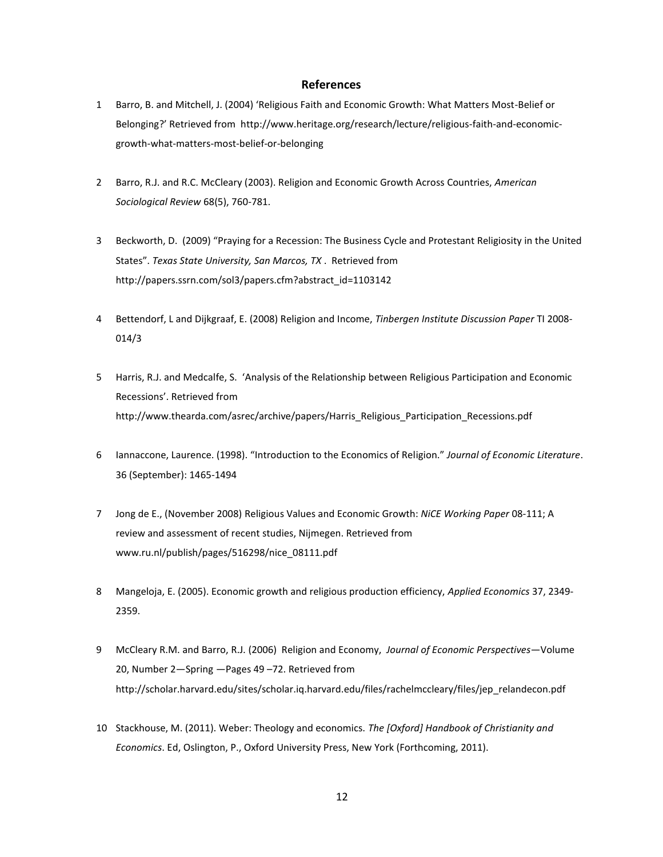### **References**

- 1 Barro, B. and Mitchell, J. (2004) 'Religious Faith and Economic Growth: What Matters Most-Belief or Belonging?' Retrieved from [http://www.heritage.org/research/lecture/religious-faith-and-economic](http://www.heritage.org/research/lecture/religious-faith-and-economic-growth-what-matters-most-belief-or-belonging)[growth-what-matters-most-belief-or-belonging](http://www.heritage.org/research/lecture/religious-faith-and-economic-growth-what-matters-most-belief-or-belonging)
- 2 Barro, R.J. and R.C. McCleary (2003). Religion and Economic Growth Across Countries, *American Sociological Review* 68(5), 760-781.
- 3 Beckworth, D. (2009) "Praying for a Recession: The Business Cycle and Protestant Religiosity in the United States". *Texas State University, San Marcos, TX* . Retrieved from http://papers.ssrn.com/sol3/papers.cfm?abstract\_id=1103142
- 4 Bettendorf, L and Dijkgraaf, E. (2008) Religion and Income, *Tinbergen Institute Discussion Paper* TI 2008- 014/3
- 5 Harris, R.J. and Medcalfe, S. 'Analysis of the Relationship between Religious Participation and Economic Recessions'. Retrieved from http://www.thearda.com/asrec/archive/papers/Harris\_Religious\_Participation\_Recessions.pdf
- 6 Iannaccone, Laurence. (1998). "Introduction to the Economics of Religion." *Journal of Economic Literature*. 36 (September): 1465-1494
- 7 Jong de E., (November 2008) Religious Values and Economic Growth: *NiCE Working Paper* 08-111; A review and assessment of recent studies, Nijmegen. Retrieved from www.ru.nl/publish/pages/516298/nice\_08111.pdf
- 8 Mangeloja, E. (2005). Economic growth and religious production efficiency, *Applied Economics* 37, 2349- 2359.
- 9 McCleary R.M. and Barro, R.J. (2006) Religion and Economy, *Journal of Economic Perspectives*—Volume 20, Number 2—Spring —Pages 49 –72. Retrieved from http://scholar.harvard.edu/sites/scholar.iq.harvard.edu/files/rachelmccleary/files/jep\_relandecon.pdf
- 10 Stackhouse, M. (2011). Weber: Theology and economics. *The [Oxford] Handbook of Christianity and Economics*. Ed, Oslington, P., Oxford University Press, New York (Forthcoming, 2011).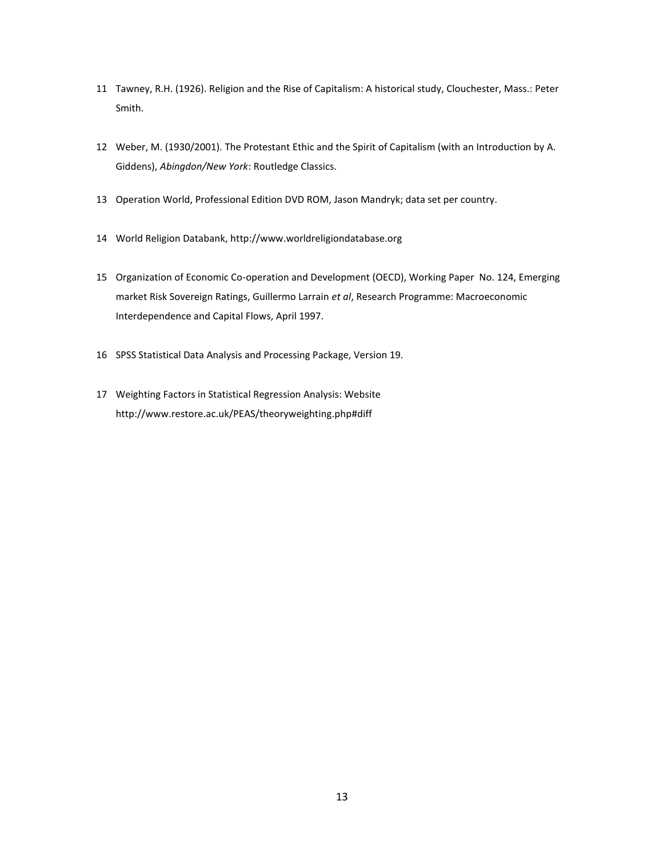- Tawney, R.H. (1926). Religion and the Rise of Capitalism: A historical study, Clouchester, Mass.: Peter Smith.
- Weber, M. (1930/2001). The Protestant Ethic and the Spirit of Capitalism (with an Introduction by A. Giddens), *Abingdon/New York*: Routledge Classics.
- Operation World, Professional Edition DVD ROM, Jason Mandryk; data set per country.
- World Religion Databank, [http://www.worldreligiondatab](http://www.worldreligiondata/)ase.org
- Organization of Economic Co-operation and Development (OECD), Working Paper No. 124, Emerging market Risk Sovereign Ratings, Guillermo Larrain *et al*, Research Programme: Macroeconomic Interdependence and Capital Flows, April 1997.
- SPSS Statistical Data Analysis and Processing Package, Version 19.
- Weighting Factors in Statistical Regression Analysis: Website http://www.restore.ac.uk/PEAS/theoryweighting.php#diff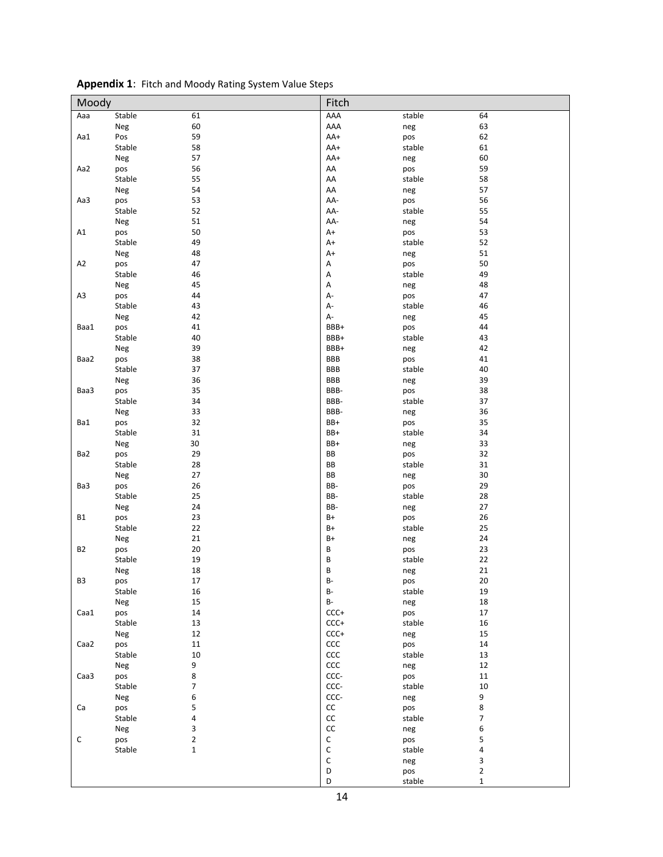| Moody          |            |                | Fitch               |               |                          |
|----------------|------------|----------------|---------------------|---------------|--------------------------|
| Aaa            | Stable     | 61             | AAA                 | stable        | 64                       |
|                | Neg        | 60             | AAA                 | neg           | 63                       |
| Aa1            | Pos        | 59             | AA+                 | pos           | 62                       |
|                | Stable     | 58             | AA+                 | stable        | 61                       |
|                | Neg        | 57             | AA+                 | neg           | 60                       |
| Aa2            | pos        | 56             | AA                  | pos           | 59                       |
|                | Stable     | 55             | AA                  | stable        | 58                       |
|                | Neg        | 54             | AA                  | neg           | 57                       |
| Aa3            | pos        | 53             | AA-                 | pos           | 56                       |
|                | Stable     | 52             | AA-                 | stable        | 55                       |
|                | Neg        | 51             | AA-                 | neg           | 54                       |
| A1             | pos        | 50             | $A+$                | pos           | 53                       |
|                | Stable     | 49             | $A+$                | stable        | 52                       |
|                | Neg        | 48             | A+                  | neg           | 51                       |
| A <sub>2</sub> | pos        | 47             | Α                   | pos           | 50                       |
|                | Stable     | 46             | Α                   | stable        | 49                       |
|                | Neg        | 45             | Α                   | neg           | 48                       |
| A3             | pos        | 44             | А-                  | pos           | 47                       |
|                | Stable     | 43             | $A -$               | stable        | 46                       |
|                | Neg        | 42             | $A-$                | neg           | 45                       |
| Baa1           | pos        | 41             | BBB+                | pos           | 44                       |
|                | Stable     | 40             | BBB+                | stable        | 43                       |
|                | Neg        | 39             | BBB+                | neg           | 42                       |
| Baa2           | pos        | 38             | <b>BBB</b>          | pos           | 41                       |
|                | Stable     | 37             | <b>BBB</b>          | stable        | 40                       |
|                | Neg        | 36             | <b>BBB</b>          | neg           | 39                       |
| Baa3           | pos        | 35             | BBB-                | pos           | 38                       |
|                | Stable     | 34             | BBB-<br>BBB-        | stable        | 37                       |
| Ba1            | Neg<br>pos | 33<br>32       | BB+                 | neg           | 36<br>35                 |
|                | Stable     | 31             | BB+                 | pos<br>stable | 34                       |
|                | Neg        | 30             | BB+                 | neg           | 33                       |
| Ba2            | pos        | 29             | BB                  | pos           | 32                       |
|                | Stable     | 28             | BB                  | stable        | 31                       |
|                | Neg        | 27             | BB                  | neg           | 30                       |
| Ba3            | pos        | 26             | BB-                 | pos           | 29                       |
|                | Stable     | 25             | BB-                 | stable        | 28                       |
|                | Neg        | 24             | BB-                 | neg           | 27                       |
| <b>B1</b>      | pos        | 23             | $B+$                | pos           | 26                       |
|                | Stable     | 22             | $B+$                | stable        | 25                       |
|                | Neg        | 21             | $B+$                | neg           | 24                       |
| B2             | pos        | 20             | B                   | pos           | 23                       |
|                | Stable     | 19             | B                   | stable        | 22                       |
|                | Neg        | 18             | B                   | neg           | 21                       |
| B3             | pos        | 17             | B-                  | pos           | $20\,$                   |
|                | Stable     | 16             | $B-$                | stable        | 19                       |
|                | Neg        | 15             | $\mathsf B\text{-}$ | neg           | $18\,$                   |
| Caa1           | pos        | 14             | $CCC+$              | pos           | $17\,$                   |
|                | Stable     | 13             | $CCC+$              | stable        | 16                       |
|                | Neg        | 12             | $CCC+$              | neg           | 15                       |
| Caa2           | pos        | 11             | ccc                 | pos           | 14                       |
|                | Stable     | 10             | ccc                 | stable        | 13                       |
|                | Neg        | 9              | ccc                 | neg           | 12                       |
| Caa3           | pos        | 8              | CCC-                | pos           | $11\,$                   |
|                | Stable     | $\overline{7}$ | CCC-                | stable        | $10\,$                   |
|                | Neg        | 6              | CCC-                | neg           | 9                        |
| Ca             | pos        | 5              | $\mathsf{CC}$       | pos           | 8                        |
|                | Stable     | 4              | $\mathsf{CC}$       | stable        | $\overline{\mathcal{I}}$ |
|                | Neg        | 3              | $\mathsf{CC}$       | neg           | 6                        |
| С              | pos        | $\mathbf{2}$   | $\mathsf C$         | pos           | 5                        |
|                | Stable     | $\mathbf 1$    | $\mathsf{C}$        | stable        | 4                        |
|                |            |                | $\mathsf{C}$        | neg           | 3                        |
|                |            |                | D                   | pos           | $\mathbf 2$              |
|                |            |                | D                   | stable        | $\mathbf{1}$             |

|  | Appendix 1: Fitch and Moody Rating System Value Steps |
|--|-------------------------------------------------------|
|--|-------------------------------------------------------|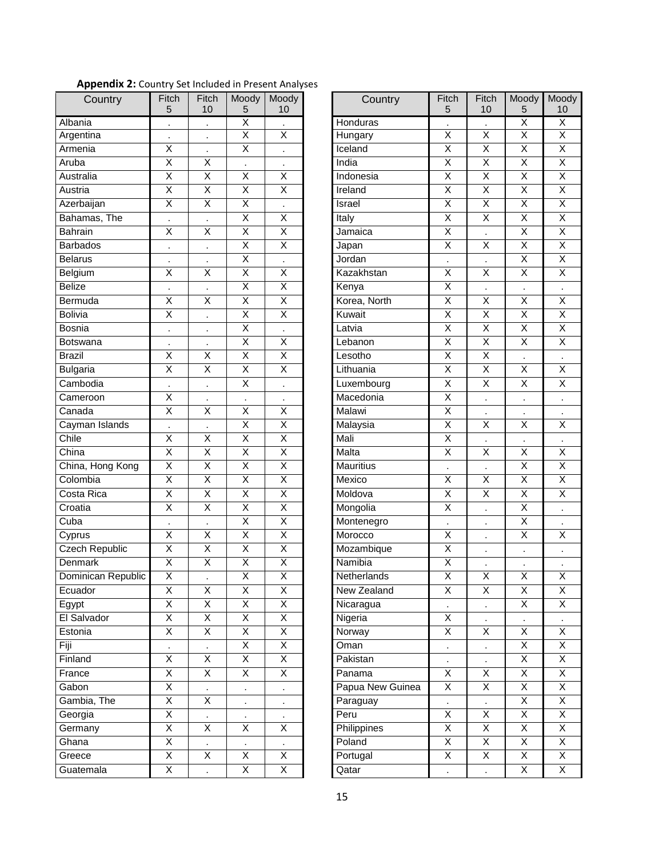| Country            | Fitch<br>5              | Fitch<br>10             | Moody<br>5              | Moody<br>10             | Country          | Fitch<br>5                         | Fitch<br>10             | Moody<br>5              | Moc<br>1 <sub>0</sub>   |
|--------------------|-------------------------|-------------------------|-------------------------|-------------------------|------------------|------------------------------------|-------------------------|-------------------------|-------------------------|
| Albania            |                         |                         | $\overline{\mathsf{x}}$ |                         | Honduras         |                                    |                         | $\overline{\mathsf{x}}$ | X                       |
| Argentina          |                         | $\blacksquare$          | $\overline{\mathsf{X}}$ | $\overline{\mathsf{X}}$ | Hungary          | $\overline{\mathsf{X}}$            | $\overline{\mathsf{x}}$ | $\overline{\mathsf{X}}$ | $\overline{\mathsf{x}}$ |
| Armenia            | X                       | $\ddot{\phantom{0}}$    | $\overline{\mathsf{x}}$ | ä,                      | Iceland          | $\overline{X}$                     | $\overline{\mathsf{x}}$ | $\overline{X}$          | X                       |
| Aruba              | $\overline{\mathsf{x}}$ | $\overline{\mathsf{x}}$ |                         |                         | India            | $\overline{\mathsf{x}}$            | $\overline{\mathsf{x}}$ | $\overline{\mathsf{x}}$ | Χ                       |
| Australia          | $\overline{\mathsf{x}}$ | $\overline{\mathsf{X}}$ | $\overline{\mathsf{x}}$ | $\overline{\mathsf{x}}$ | Indonesia        | $\overline{\mathsf{X}}$            | $\overline{\mathsf{x}}$ | $\overline{\mathsf{x}}$ | X                       |
| Austria            | $\overline{\mathsf{x}}$ | $\overline{\mathsf{X}}$ | $\overline{\mathsf{X}}$ | $\overline{\mathsf{x}}$ | Ireland          | $\overline{\mathsf{X}}$            | $\overline{\mathsf{x}}$ | $\overline{\mathsf{X}}$ | X                       |
| Azerbaijan         | $\overline{\mathsf{x}}$ | $\overline{X}$          | $\overline{\mathsf{x}}$ |                         | <b>Israel</b>    | $\overline{\mathsf{X}}$            | $\overline{\mathsf{x}}$ | $\overline{X}$          | Χ                       |
| Bahamas, The       |                         |                         | $\overline{X}$          | X                       | Italy            | $\overline{X}$                     | X                       | X                       | X                       |
| <b>Bahrain</b>     | $\overline{\mathsf{x}}$ | $\overline{\mathsf{x}}$ | $\overline{\mathsf{X}}$ | $\overline{\mathsf{X}}$ | Jamaica          | $\overline{\mathsf{X}}$            |                         | $\overline{\mathsf{X}}$ | X                       |
| <b>Barbados</b>    | ä,                      | $\ddot{\phantom{0}}$    | $\overline{\mathsf{X}}$ | $\overline{\mathsf{X}}$ | Japan            | $\overline{\mathsf{X}}$            | $\overline{\mathsf{x}}$ | $\overline{\mathsf{X}}$ | Χ                       |
| <b>Belarus</b>     |                         |                         | $\overline{X}$          |                         | Jordan           |                                    |                         | $\overline{\mathsf{X}}$ | Χ                       |
| Belgium            | X                       | X                       | $\overline{\mathsf{x}}$ | $\overline{\mathsf{x}}$ | Kazakhstan       | $\cdot$<br>$\overline{\mathsf{x}}$ | $\overline{\mathsf{x}}$ | $\overline{\mathsf{x}}$ | X                       |
| <b>Belize</b>      |                         |                         | $\overline{\mathsf{X}}$ | $\overline{\mathsf{X}}$ | Kenya            | $\overline{\mathsf{X}}$            |                         |                         |                         |
| Bermuda            | $\overline{\mathsf{x}}$ | $\overline{\mathsf{X}}$ | $\overline{\mathsf{x}}$ | $\overline{\mathsf{X}}$ | Korea, North     | $\overline{\mathsf{X}}$            | $\overline{\mathsf{x}}$ | $\overline{\mathsf{X}}$ | $\overline{\mathsf{x}}$ |
| <b>Bolivia</b>     | $\overline{\mathsf{x}}$ |                         | $\overline{\mathsf{x}}$ | $\overline{\mathsf{x}}$ | Kuwait           | $\overline{\mathsf{x}}$            | $\overline{\mathsf{x}}$ | $\overline{\mathsf{x}}$ | Χ                       |
| <b>Bosnia</b>      |                         | $\ddot{\phantom{0}}$    | X                       |                         | Latvia           | $\overline{X}$                     | X                       | $\overline{X}$          | X                       |
| Botswana           |                         |                         | $\overline{X}$          | X                       | Lebanon          | $\overline{X}$                     | $\overline{\mathsf{x}}$ | $\overline{\mathsf{X}}$ | X                       |
| <b>Brazil</b>      | $\overline{\mathsf{x}}$ | X                       | $\overline{X}$          | $\overline{\mathsf{x}}$ | Lesotho          | $\overline{X}$                     | $\overline{\mathsf{x}}$ |                         |                         |
| <b>Bulgaria</b>    | $\overline{\mathsf{x}}$ | $\overline{X}$          | $\overline{\mathsf{X}}$ | $\overline{\mathsf{X}}$ | Lithuania        | $\overline{\mathsf{X}}$            | $\overline{\mathsf{X}}$ | $\overline{X}$          | X                       |
|                    |                         |                         | $\overline{\mathsf{x}}$ |                         |                  | $\overline{\mathsf{x}}$            | $\overline{\mathsf{x}}$ | $\overline{\mathsf{x}}$ |                         |
| Cambodia           |                         |                         |                         |                         | Luxembourg       |                                    |                         |                         | X                       |
| Cameroon           | X                       |                         |                         | ×                       | Macedonia        | $\overline{\mathsf{x}}$            |                         | $\cdot$                 | $\cdot$                 |
| Canada             | $\overline{\mathsf{x}}$ | $\sf X$                 | $\sf X$                 | X                       | Malawi           | $\overline{X}$                     | $\cdot$                 | $\cdot$                 | $\cdot$                 |
| Cayman Islands     |                         |                         | $\sf X$                 | X                       | Malaysia         | X                                  | X                       | Χ                       | Χ                       |
| Chile              | X                       | $\sf X$                 | $\overline{\mathsf{x}}$ | $\overline{\mathsf{x}}$ | Mali             | $\overline{X}$                     |                         |                         |                         |
| China              | $\sf X$                 | $\sf X$                 | X                       | X                       | Malta            | $\overline{X}$                     | X                       | X                       | X                       |
| China, Hong Kong   | $\overline{\mathsf{x}}$ | $\overline{X}$          | $\overline{\mathsf{x}}$ | $\overline{\mathsf{x}}$ | <b>Mauritius</b> | $\cdot$                            |                         | X                       | X                       |
| Colombia           | X                       | $\sf X$                 | X                       | $\overline{\mathsf{x}}$ | Mexico           | $\sf X$                            | $\overline{\mathsf{x}}$ | X                       | Х                       |
| Costa Rica         | $\overline{\mathsf{x}}$ | $\overline{X}$          | $\overline{\mathsf{x}}$ | $\overline{\mathsf{x}}$ | Moldova          | $\overline{X}$                     | $\overline{\mathsf{x}}$ | $\overline{X}$          | X                       |
| Croatia            | $\overline{\mathsf{x}}$ | $\overline{\mathsf{x}}$ | $\overline{\mathsf{X}}$ | $\overline{\mathsf{x}}$ | Mongolia         | $\overline{\mathsf{X}}$            | $\cdot$                 | $\overline{\mathsf{X}}$ | $\cdot$                 |
| Cuba               | $\cdot$                 | $\blacksquare$          | $\sf X$                 | X                       | Montenegro       | $\cdot$                            | $\cdot$                 | $\mathsf X$             | $\cdot$                 |
| Cyprus             | Χ                       | Χ                       | $\mathsf X$             | X                       | Morocco          | X                                  |                         | X                       | Χ                       |
| Czech Republic     | $\overline{X}$          | $\overline{X}$          | $\overline{\mathsf{x}}$ | $\overline{\mathsf{x}}$ | Mozambique       | $\overline{\mathsf{x}}$            |                         |                         |                         |
| Denmark            | $\overline{\mathsf{X}}$ | $\overline{\mathsf{X}}$ | $\overline{\mathsf{x}}$ | $\overline{\mathsf{X}}$ | Namibia          | $\overline{\mathsf{X}}$            |                         |                         | $\cdot$                 |
| Dominican Republic | $\overline{\mathsf{X}}$ |                         | $\overline{\mathsf{x}}$ | $\overline{\mathsf{X}}$ | Netherlands      | $\overline{\mathsf{X}}$            | $\overline{\mathsf{X}}$ | $\overline{\mathsf{X}}$ | $\overline{\mathsf{x}}$ |
| Ecuador            | X                       | X                       | X                       | X                       | New Zealand      | X                                  | X                       | X                       | Χ                       |
| Egypt              | $\overline{X}$          | $\mathsf{X}$            | $\overline{X}$          | X                       | Nicaragua        |                                    |                         | X                       | X                       |
| El Salvador        | $\overline{\mathsf{X}}$ | $\overline{X}$          | $\overline{X}$          | $\overline{\mathsf{X}}$ | Nigeria          | Χ                                  | $\cdot$                 | $\bullet$               | $\cdot$                 |
| Estonia            | $\overline{X}$          | X                       | $\overline{X}$          | $\overline{X}$          | Norway           | $\overline{X}$                     | X                       | X                       | X                       |
| Fiji               |                         |                         | X                       | Χ                       | Oman             | $\blacksquare$                     |                         | X                       | X                       |
| Finland            | X                       | X                       | $\overline{X}$          | X                       | Pakistan         |                                    |                         | X                       | X                       |
| France             | $\overline{X}$          | $\overline{X}$          | $\overline{X}$          | $\overline{X}$          | Panama           | $\overline{X}$                     | $\overline{X}$          | $\overline{X}$          | X                       |
| Gabon              | $\overline{X}$          |                         |                         |                         | Papua New Guinea | $\overline{\mathsf{x}}$            | $\overline{X}$          | $\overline{X}$          | X                       |
| Gambia, The        | $\overline{\mathsf{X}}$ | X                       |                         |                         | Paraguay         |                                    |                         | $\overline{X}$          | Χ                       |
| Georgia            | $\overline{X}$          |                         |                         |                         | Peru             | $\overline{X}$                     | $\overline{X}$          | $\overline{X}$          | X                       |
| Germany            | $\overline{X}$          | X                       | X                       | X                       | Philippines      | $\overline{X}$                     | $\overline{X}$          | $\overline{X}$          | X                       |
| Ghana              | X                       | ¥,                      | $\blacksquare$          | $\blacksquare$          | Poland           | X                                  | X                       | X                       | Χ                       |
| Greece             | X                       | X                       | X                       | X                       | Portugal         | X                                  | X                       | X                       | Χ                       |
| Guatemala          | $\overline{X}$          |                         | $\overline{X}$          | $\overline{X}$          | Qatar            |                                    |                         | $\overline{X}$          | X                       |

| Country          | Fitch                   | Fitch                   | Moody                   | Moody                   |
|------------------|-------------------------|-------------------------|-------------------------|-------------------------|
|                  | 5                       | 10                      | 5                       | 10                      |
| Honduras         |                         | $\cdot$                 | $\overline{\mathsf{x}}$ | $\overline{\mathsf{x}}$ |
| Hungary          | $\overline{\mathsf{x}}$ | $\overline{\mathsf{x}}$ | $\overline{\mathsf{X}}$ | $\overline{\mathsf{x}}$ |
| Iceland          | $\overline{\mathsf{x}}$ | $\overline{\mathsf{x}}$ | $\overline{\mathsf{x}}$ | $\overline{\mathsf{x}}$ |
| India            | $\overline{\mathsf{x}}$ | $\overline{\mathsf{x}}$ | $\overline{\mathsf{x}}$ | $\overline{\mathsf{x}}$ |
| Indonesia        | $\overline{\mathsf{x}}$ | $\overline{\mathsf{x}}$ | $\overline{\mathsf{x}}$ | $\overline{\mathsf{x}}$ |
| Ireland          | $\overline{\mathsf{X}}$ | $\overline{\mathsf{x}}$ | $\overline{\mathsf{X}}$ | $\overline{\mathsf{x}}$ |
| Israel           | $\overline{\mathsf{x}}$ | $\overline{\mathsf{x}}$ | $\overline{\mathsf{x}}$ | $\overline{\mathsf{x}}$ |
| Italy            | $\overline{\mathsf{x}}$ | $\overline{\mathsf{x}}$ | $\overline{X}$          | $\overline{\mathsf{x}}$ |
| Jamaica          | $\overline{\mathsf{x}}$ |                         | $\overline{\mathsf{x}}$ | $\overline{\mathsf{x}}$ |
| Japan            | $\overline{\mathsf{x}}$ | $\overline{\mathsf{x}}$ | $\overline{\mathsf{x}}$ | $\overline{\mathsf{x}}$ |
| Jordan           | $\blacksquare$          |                         | $\overline{\mathsf{x}}$ | $\overline{\mathsf{x}}$ |
| Kazakhstan       | $\overline{\mathsf{x}}$ | $\overline{\mathsf{x}}$ | $\overline{\mathsf{x}}$ | $\overline{\mathsf{x}}$ |
| Kenya            | $\overline{\mathsf{x}}$ | $\cdot$                 | $\cdot$                 | ł,                      |
| Korea, North     | $\overline{\mathsf{x}}$ | $\overline{\mathsf{x}}$ | $\overline{\mathsf{x}}$ | $\overline{\mathsf{X}}$ |
| Kuwait           | $\overline{\mathsf{x}}$ | $\overline{\mathsf{x}}$ | $\overline{\mathsf{x}}$ | $\overline{\mathsf{x}}$ |
| Latvia           | $\overline{\mathsf{x}}$ | $\overline{\mathsf{X}}$ | $\overline{X}$          | X                       |
| Lebanon          | $\overline{\mathsf{x}}$ | $\overline{\mathsf{x}}$ | $\overline{\mathsf{x}}$ | $\overline{\mathsf{x}}$ |
| Lesotho          | $\overline{\mathsf{x}}$ | $\overline{\mathsf{X}}$ |                         |                         |
| Lithuania        | $\overline{\mathsf{x}}$ | $\overline{\mathsf{x}}$ | $\overline{\mathsf{x}}$ | $\overline{\mathsf{x}}$ |
| Luxembourg       | $\overline{\mathsf{x}}$ | $\overline{\mathsf{x}}$ | $\overline{\mathsf{x}}$ | $\overline{\mathsf{x}}$ |
| Macedonia        | $\overline{\mathsf{x}}$ | $\cdot$                 | $\ddot{\phantom{0}}$    | $\cdot$                 |
| Malawi           | $\overline{\mathsf{x}}$ |                         |                         |                         |
| Malaysia         | $\overline{\mathsf{x}}$ | X                       | $\overline{\mathsf{x}}$ | X                       |
| Mali             | $\overline{\mathsf{x}}$ |                         |                         |                         |
| Malta            | $\overline{\mathsf{x}}$ | $\overline{\mathsf{x}}$ | X                       | X                       |
| Mauritius        |                         |                         | $\overline{\mathsf{x}}$ | $\overline{\mathsf{x}}$ |
| Mexico           | $\overline{\mathsf{x}}$ | $\overline{\mathsf{x}}$ | $\overline{\mathsf{x}}$ | $\overline{\mathsf{x}}$ |
| Moldova          | $\overline{\mathsf{x}}$ | $\overline{\mathsf{x}}$ | $\overline{\mathsf{x}}$ | $\overline{\mathsf{x}}$ |
| Mongolia         | $\overline{\mathsf{x}}$ | $\cdot$                 | $\overline{\mathsf{x}}$ | $\cdot$                 |
| Montenegro       | $\cdot$                 | $\cdot$                 | $\overline{\mathsf{X}}$ |                         |
| Morocco          | $\overline{\mathsf{x}}$ |                         | $\overline{\mathsf{x}}$ | X                       |
| Mozambique       | $\overline{\mathsf{x}}$ |                         | $\ddot{\phantom{0}}$    |                         |
| Namibia          | $\overline{\mathsf{x}}$ |                         | $\cdot$                 |                         |
| Netherlands      | $\overline{\mathsf{x}}$ | $\overline{\mathsf{x}}$ | $\overline{\mathsf{x}}$ | $\overline{\mathsf{x}}$ |
| New Zealand      | X                       | Χ                       | Χ                       | Χ                       |
| Nicaragua        |                         |                         | X                       | X                       |
| Nigeria          | Χ                       |                         |                         |                         |
| Norway           | $\overline{\mathsf{x}}$ | $\overline{\mathsf{x}}$ | $\overline{\mathsf{x}}$ | $\overline{\mathsf{x}}$ |
| Oman             |                         |                         | Χ                       | X                       |
| Pakistan         |                         |                         | X                       | Χ                       |
| Panama           | Χ                       | X                       | $\overline{\mathsf{x}}$ | Χ                       |
| Papua New Guinea | $\overline{\mathsf{x}}$ | $\overline{\mathsf{x}}$ | $\overline{\mathsf{x}}$ | $\overline{\mathsf{x}}$ |
| Paraguay         |                         |                         | $\overline{\mathsf{x}}$ | $\overline{\mathsf{x}}$ |
| Peru             | $\overline{\mathsf{x}}$ | $\overline{\mathsf{x}}$ | $\overline{\mathsf{x}}$ | X                       |
| Philippines      | $\overline{\mathsf{x}}$ | $\overline{\mathsf{x}}$ | Χ                       | Χ                       |
| Poland           | $\overline{\mathsf{x}}$ | $\overline{\mathsf{x}}$ | Χ                       | Χ                       |
| Portugal         | $\overline{\mathsf{x}}$ | $\overline{\mathsf{x}}$ | $\overline{\mathsf{x}}$ | Χ                       |
| Qatar            | l,                      | $\ddot{\phantom{0}}$    | $\overline{\mathsf{x}}$ | $\overline{\mathsf{x}}$ |

# **Appendix 2:** Country Set Included in Present Analyses